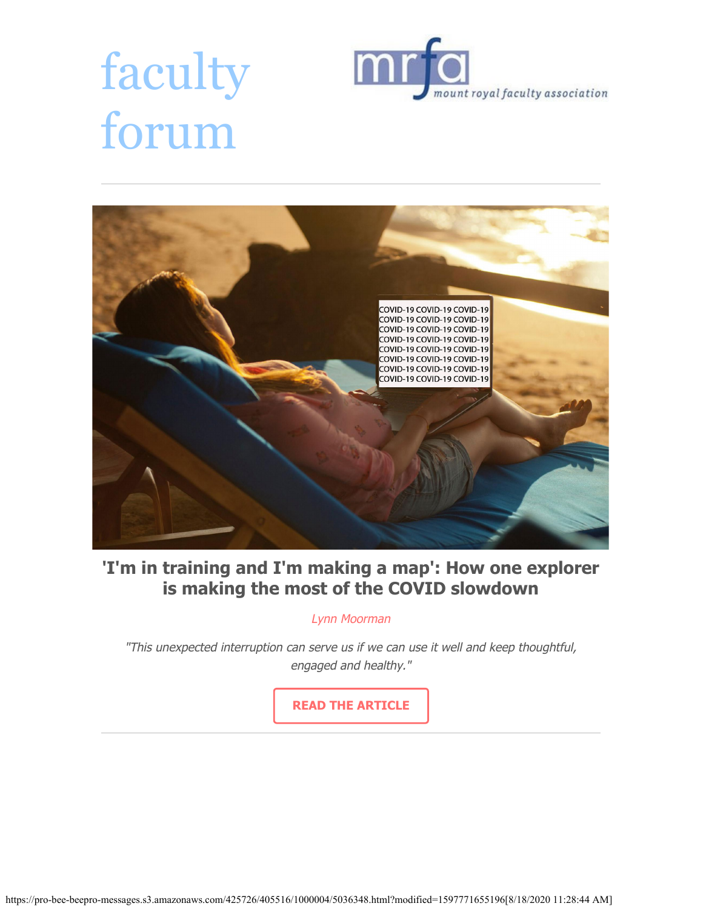# faculty forum





# **'I'm in training and I'm making a map': How one explorer is making the most of the COVID slowdown**

Lynn Moorman

"This unexpected interruption can serve us if we can use it well and keep thoughtful, engaged and healthy."

**[READ THE ARTICLE](https://mrfa.net/exploration-in-the-intersession-thoughts-from-a-shackled-geographer/)**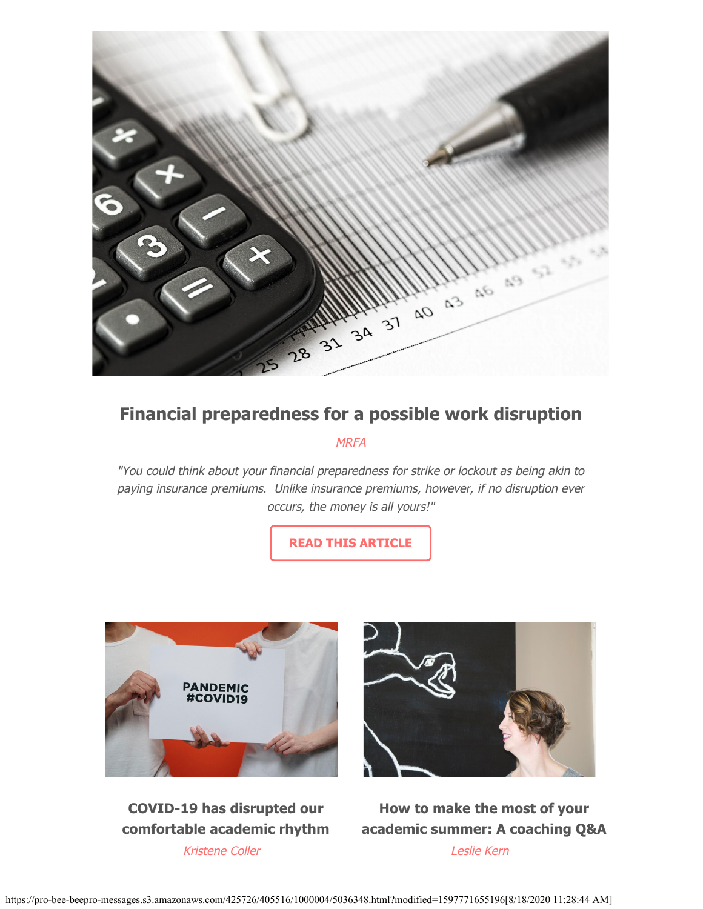

# **Financial preparedness for a possible work disruption**

#### **MRFA**

"You could think about your financial preparedness for strike or lockout as being akin to paying insurance premiums. Unlike insurance premiums, however, if no disruption ever occurs, the money is all yours!"

**[READ THIS ARTICLE](https://mrfa.net/ants-not-grasshoppers-planning-ahead-for-work-disruption/)**





**COVID-19 has disrupted our comfortable academic rhythm** Kristene Coller

**How to make the most of your academic summer: A coaching Q&A** Leslie Kern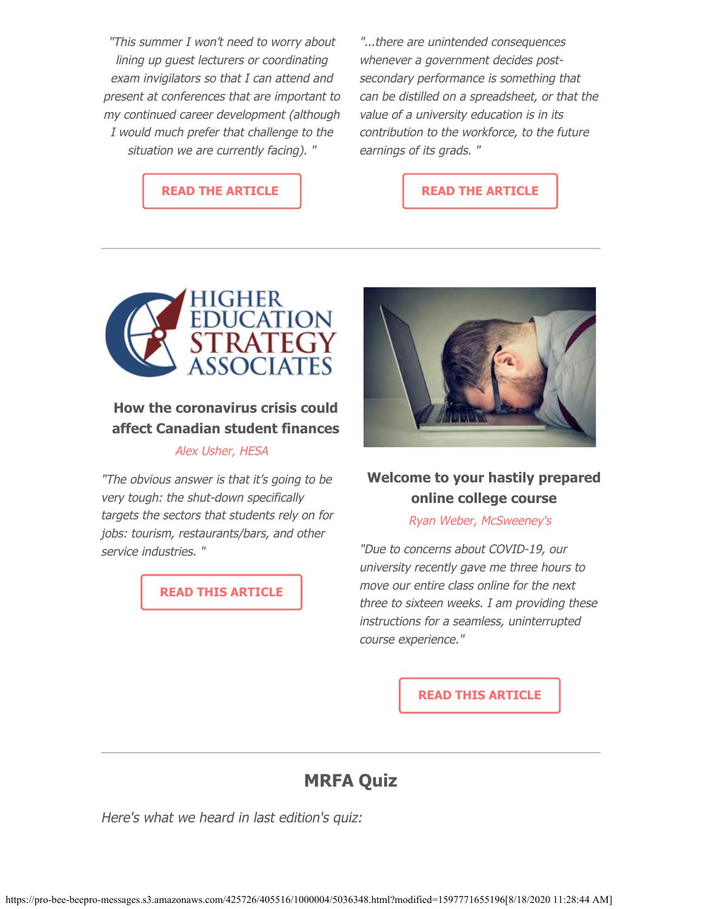"This summer I won't need to worry about lining up guest lecturers or coordinating exam invigilators so that I can attend and present at conferences that are important to my continued career development (although I would much prefer that challenge to the situation we are currently facing). "

**[READ THE ARTICLE](https://mrfa.net/academic-rhythm/)**

"...there are unintended consequences whenever a government decides postsecondary performance is something that can be distilled on a spreadsheet, or that the value of a university education is in its contribution to the workforce, to the future earnings of its grads. "

#### **[READ THE ARTICLE](https://mrfa.net/making-the-most-of-the-academic-summer-a-coachs-view/)**



## **How the coronavirus crisis could affect Canadian student finances**

#### Alex Usher, HESA

"The obvious answer is that it's going to be very tough: the shut-down specifically targets the sectors that students rely on for jobs: tourism, restaurants/bars, and other service industries. "

**[READ THIS ARTICLE](http://higheredstrategy.com/coronavirus-10-student-support/)**



### **Welcome to your hastily prepared online college course**

Ryan Weber, McSweeney's

"Due to concerns about COVID-19, our university recently gave me three hours to move our entire class online for the next three to sixteen weeks. I am providing these instructions for a seamless, uninterrupted course experience."

**[READ THIS ARTICLE](https://www.mcsweeneys.net/articles/welcome-to-your-hastily-prepared-online-college-course)**

# **MRFA Quiz**

Here's what we heard in last edition's quiz: